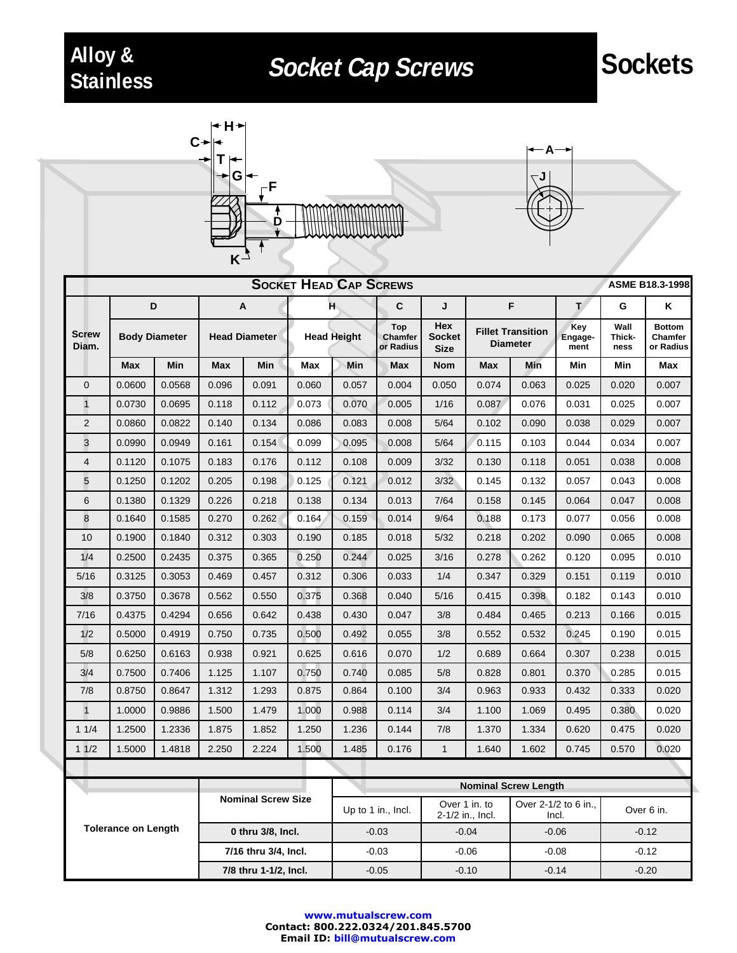### Alloy & Socket Cap Screws Sockets **Stainless Socket Cap Screws**





| <b>SOCKET HEAD CAP SCREWS</b><br><b>ASME B18.3-1998</b> |                      |        |                                           |       |                    |         |                             |                                     |                                             |                               |                        |                        |                                       |
|---------------------------------------------------------|----------------------|--------|-------------------------------------------|-------|--------------------|---------|-----------------------------|-------------------------------------|---------------------------------------------|-------------------------------|------------------------|------------------------|---------------------------------------|
|                                                         | D                    |        | A                                         |       | н                  |         | C                           | J                                   |                                             | F                             |                        | G                      | Κ                                     |
| <b>Screw</b><br>Diam.                                   | <b>Body Diameter</b> |        | <b>Head Diameter</b>                      |       | <b>Head Height</b> |         | Top<br>Chamfer<br>or Radius | Hex<br><b>Socket</b><br><b>Size</b> | <b>Fillet Transition</b><br><b>Diameter</b> |                               | Key<br>Engage-<br>ment | Wall<br>Thick-<br>ness | <b>Bottom</b><br>Chamfer<br>or Radius |
|                                                         | Max                  | Min    | Max                                       | Min   | Max                | Min     | Max                         | Nom                                 | Max                                         | Min                           | Min                    | Min                    | Max                                   |
| $\overline{0}$                                          | 0.0600               | 0.0568 | 0.096                                     | 0.091 | 0.060              | 0.057   | 0.004                       | 0.050                               | 0.074                                       | 0.063                         | 0.025                  | 0.020                  | 0.007                                 |
| $\mathbf{1}$                                            | 0.0730               | 0.0695 | 0.118                                     | 0.112 | 0.073              | 0.070   | 0.005                       | 1/16                                | 0.087                                       | 0.076                         | 0.031                  | 0.025                  | 0.007                                 |
| $\overline{2}$                                          | 0.0860               | 0.0822 | 0.140                                     | 0.134 | 0.086              | 0.083   | 0.008                       | $5/64$                              | 0.102                                       | 0.090                         | 0.038                  | 0.029                  | 0.007                                 |
| 3                                                       | 0.0990               | 0.0949 | 0.161                                     | 0.154 | 0.099              | 0.095   | 0.008                       | 5/64                                | 0.115                                       | 0.103                         | 0.044                  | 0.034                  | 0.007                                 |
| 4                                                       | 0.1120               | 0.1075 | 0.183                                     | 0.176 | 0.112              | 0.108   | 0.009                       | 3/32                                | 0.130                                       | 0.118                         | 0.051                  | 0.038                  | 0.008                                 |
| 5                                                       | 0.1250               | 0.1202 | 0.205                                     | 0.198 | 0.125              | 0.121   | 0.012                       | 3/32                                | 0.145                                       | 0.132                         | 0.057                  | 0.043                  | 0.008                                 |
| 6                                                       | 0.1380               | 0.1329 | 0.226                                     | 0.218 | 0.138              | 0.134   | 0.013                       | 7/64                                | 0.158                                       | 0.145                         | 0.064                  | 0.047                  | 0.008                                 |
| 8                                                       | 0.1640               | 0.1585 | 0.270                                     | 0.262 | 0.164              | 0.159   | 0.014                       | 9/64                                | 0.188                                       | 0.173                         | 0.077                  | 0.056                  | 0.008                                 |
| 10                                                      | 0.1900               | 0.1840 | 0.312                                     | 0.303 | 0.190              | 0.185   | 0.018                       | $5/32$                              | 0.218                                       | 0.202                         | 0.090                  | 0.065                  | 0.008                                 |
| 1/4                                                     | 0.2500               | 0.2435 | 0.375                                     | 0.365 | 0.250              | 0.244   | 0.025                       | 3/16                                | 0.278                                       | 0.262                         | 0.120                  | 0.095                  | 0.010                                 |
| 5/16                                                    | 0.3125               | 0.3053 | 0.469                                     | 0.457 | 0.312              | 0.306   | 0.033                       | 1/4                                 | 0.347                                       | 0.329                         | 0.151                  | 0.119                  | 0.010                                 |
| 3/8                                                     | 0.3750               | 0.3678 | 0.562                                     | 0.550 | 0.375              | 0.368   | 0.040                       | 5/16                                | 0.415                                       | 0.398                         | 0.182                  | 0.143                  | 0.010                                 |
| 7/16                                                    | 0.4375               | 0.4294 | 0.656                                     | 0.642 | 0.438              | 0.430   | 0.047                       | 3/8                                 | 0.484                                       | 0.465                         | 0.213                  | 0.166                  | 0.015                                 |
| 1/2                                                     | 0.5000               | 0.4919 | 0.750                                     | 0.735 | 0.500              | 0.492   | 0.055                       | 3/8                                 | 0.552                                       | 0.532                         | 0.245                  | 0.190                  | 0.015                                 |
| 5/8                                                     | 0.6250               | 0.6163 | 0.938                                     | 0.921 | 0.625              | 0.616   | 0.070                       | 1/2                                 | 0.689                                       | 0.664                         | 0.307                  | 0.238                  | 0.015                                 |
| 3/4                                                     | 0.7500               | 0.7406 | 1.125                                     | 1.107 | 0.750              | 0.740   | 0.085                       | 5/8                                 | 0.828                                       | 0.801                         | 0.370                  | 0.285                  | 0.015                                 |
| 7/8                                                     | 0.8750               | 0.8647 | 1.312                                     | 1.293 | 0.875              | 0.864   | 0.100                       | 3/4                                 | 0.963                                       | 0.933                         | 0.432                  | 0.333                  | 0.020                                 |
| 1                                                       | 1.0000               | 0.9886 | 1.500                                     | 1.479 | 1.000              | 0.988   | 0.114                       | 3/4                                 | 1.100                                       | 1.069                         | 0.495                  | 0.380                  | 0.020                                 |
| 11/4                                                    | 1.2500               | 1.2336 | 1.875                                     | 1.852 | 1.250              | 1.236   | 0.144                       | 7/8                                 | 1.370                                       | 1.334                         | 0.620                  | 0.475                  | 0.020                                 |
| 11/2                                                    | 1.5000               | 1.4818 | 2.250                                     | 2.224 | 1.500              | 1.485   | 0.176                       | 1                                   | 1.640                                       | 1.602                         | 0.745                  | 0.570                  | 0.020                                 |
|                                                         |                      |        |                                           |       |                    |         |                             |                                     |                                             |                               |                        |                        |                                       |
|                                                         |                      |        |                                           |       |                    |         |                             |                                     |                                             | <b>Nominal Screw Length</b>   |                        |                        |                                       |
|                                                         |                      |        | <b>Nominal Screw Size</b>                 |       |                    |         | Up to 1 in., Incl.          | Over 1 in. to<br>2-1/2 in., Incl.   |                                             | Over 2-1/2 to 6 in.,<br>Incl. |                        | Over 6 in.             |                                       |
| <b>Tolerance on Length</b>                              |                      |        | 0 thru 3/8, Incl.<br>7/16 thru 3/4, Incl. |       |                    |         | $-0.03$                     | $-0.04$                             |                                             | $-0.06$                       |                        | $-0.12$                |                                       |
|                                                         |                      |        |                                           |       |                    |         | $-0.03$                     | $-0.06$                             |                                             | $-0.08$                       |                        | $-0.12$                |                                       |
|                                                         |                      |        | 7/8 thru 1-1/2, Incl.                     |       |                    | $-0.05$ |                             | $-0.10$                             |                                             | $-0.14$                       |                        | $-0.20$                |                                       |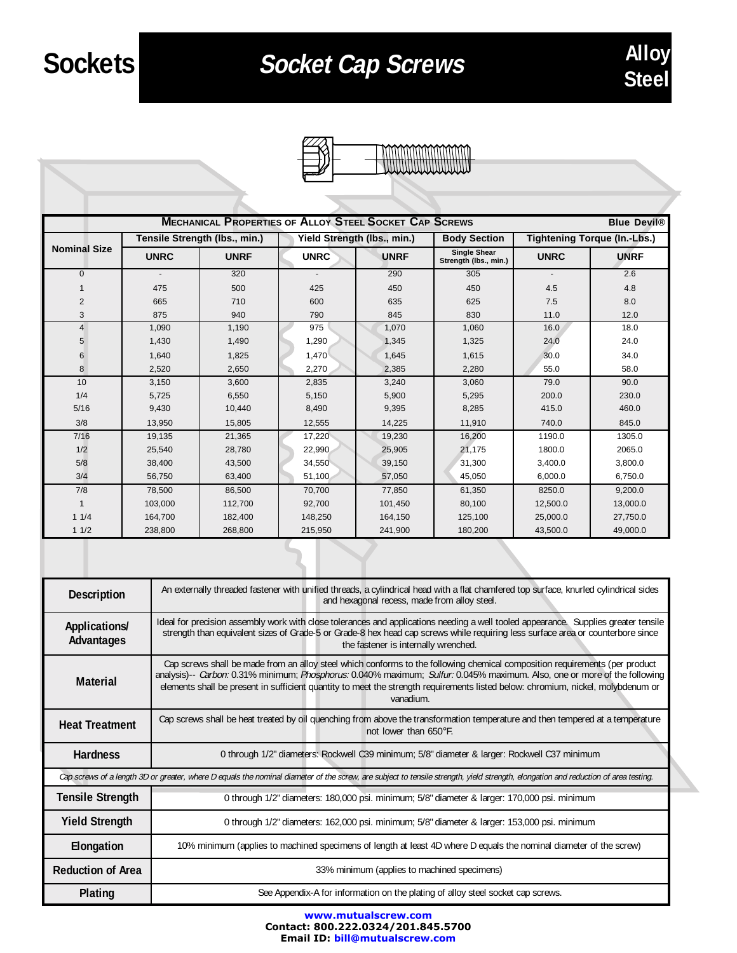# **Sockets Socket Cap Screws Alloy**

 $\overline{a}$ 

| ΨÀ |  | <b>MMMMMMMMMM</b> |
|----|--|-------------------|
|    |  |                   |
|    |  | WWW.WWW.WWW       |
|    |  |                   |
|    |  |                   |

| <b>MECHANICAL PROPERTIES OF ALLOY STEEL SOCKET CAP SCREWS</b><br><b>Blue Devil®</b> |             |                               |             |                             |                                              |                              |             |  |  |  |
|-------------------------------------------------------------------------------------|-------------|-------------------------------|-------------|-----------------------------|----------------------------------------------|------------------------------|-------------|--|--|--|
| <b>Nominal Size</b>                                                                 |             | Tensile Strength (lbs., min.) |             | Yield Strength (lbs., min.) | <b>Body Section</b>                          | Tightening Torque (In.-Lbs.) |             |  |  |  |
|                                                                                     | <b>UNRC</b> | <b>UNRF</b>                   | <b>UNRC</b> | <b>UNRF</b>                 | <b>Single Shear</b><br>Strength (lbs., min.) | <b>UNRC</b>                  | <b>UNRF</b> |  |  |  |
| $\mathbf{0}$                                                                        |             | 320                           |             | 290                         | 305                                          |                              | 2.6         |  |  |  |
|                                                                                     | 475         | 500                           | 425         | 450                         | 450                                          | 4.5                          | 4.8         |  |  |  |
| $\overline{2}$                                                                      | 665         | 710                           | 600         | 635                         | 625                                          | 7.5                          | 8.0         |  |  |  |
| 3                                                                                   | 875         | 940                           | 790         | 845                         | 830                                          | 11.0                         | 12.0        |  |  |  |
| 4                                                                                   | 1,090       | 1,190                         | 975         | 1,070                       | 1,060                                        | 16.0                         | 18.0        |  |  |  |
| 5                                                                                   | 1,430       | 1,490                         | 1,290       | 1.345                       | 1,325                                        | 24.0                         | 24.0        |  |  |  |
| 6                                                                                   | 1,640       | 1,825                         | 1,470       | 1,645                       | 1,615                                        | 30.0                         | 34.0        |  |  |  |
| 8                                                                                   | 2,520       | 2,650                         | 2,270       | 2,385                       | 2,280                                        | 55.0                         | 58.0        |  |  |  |
| 10                                                                                  | 3,150       | 3,600                         | 2,835       | 3,240                       | 3,060                                        | 79.0                         | 90.0        |  |  |  |
| 1/4                                                                                 | 5,725       | 6,550                         | 5,150       | 5,900                       | 5,295                                        | 200.0                        | 230.0       |  |  |  |
| 5/16                                                                                | 9,430       | 10,440                        | 8,490       | 9,395                       | 8,285                                        | 415.0                        | 460.0       |  |  |  |
| 3/8                                                                                 | 13,950      | 15,805                        | 12,555      | 14.225                      | 11,910                                       | 740.0                        | 845.0       |  |  |  |
| 7/16                                                                                | 19,135      | 21,365                        | 17.220      | 19.230                      | 16,200                                       | 1190.0                       | 1305.0      |  |  |  |
| 1/2                                                                                 | 25,540      | 28,780                        | 22,990      | 25,905                      | 21,175                                       | 1800.0                       | 2065.0      |  |  |  |
| 5/8                                                                                 | 38,400      | 43,500                        | 34,550      | 39,150                      | 31,300                                       | 3,400.0                      | 3,800.0     |  |  |  |
| 3/4                                                                                 | 56,750      | 63,400                        | 51,100      | 57,050                      | 45,050                                       | 6.000.0                      | 6.750.0     |  |  |  |
| 7/8                                                                                 | 78,500      | 86,500                        | 70,700      | 77,850                      | 61,350                                       | 8250.0                       | 9,200.0     |  |  |  |
| $\mathbf{1}$                                                                        | 103,000     | 112,700                       | 92,700      | 101,450                     | 80,100                                       | 12,500.0                     | 13,000.0    |  |  |  |
| 11/4                                                                                | 164,700     | 182,400                       | 148,250     | 164,150                     | 125,100                                      | 25,000.0                     | 27,750.0    |  |  |  |
| 11/2                                                                                | 238,800     | 268,800                       | 215,950     | 241,900                     | 180,200                                      | 43,500.0                     | 49,000.0    |  |  |  |

| <b>Description</b>          | An externally threaded fastener with unified threads, a cylindrical head with a flat chamfered top surface, knurled cylindrical sides<br>and hexagonal recess, made from alloy steel.                                                                                                                                                                                                                     |
|-----------------------------|-----------------------------------------------------------------------------------------------------------------------------------------------------------------------------------------------------------------------------------------------------------------------------------------------------------------------------------------------------------------------------------------------------------|
| Applications/<br>Advantages | Ideal for precision assembly work with close tolerances and applications needing a well tooled appearance. Supplies greater tensile<br>strength than equivalent sizes of Grade-5 or Grade-8 hex head cap screws while requiring less surface area or counterbore since<br>the fastener is internally wrenched.                                                                                            |
| <b>Material</b>             | Cap screws shall be made from an alloy steel which conforms to the following chemical composition requirements (per product<br>analysis)-- Carbon: 0.31% minimum; Phosphorus: 0.040% maximum; Sulfur: 0.045% maximum. Also, one or more of the following<br>elements shall be present in sufficient quantity to meet the strength requirements listed below: chromium, nickel, molybdenum or<br>vanadium. |
| <b>Heat Treatment</b>       | Cap screws shall be heat treated by oil quenching from above the transformation temperature and then tempered at a temperature<br>not lower than 650°F.                                                                                                                                                                                                                                                   |
| <b>Hardness</b>             | 0 through 1/2" diameters: Rockwell C39 minimum; 5/8" diameter & larger: Rockwell C37 minimum                                                                                                                                                                                                                                                                                                              |
|                             | Cap screws of a length 3D or greater, where D equals the nominal diameter of the screw, are subject to tensile strength, yield strength, elongation and reduction of area testing.                                                                                                                                                                                                                        |
|                             |                                                                                                                                                                                                                                                                                                                                                                                                           |
| <b>Tensile Strength</b>     | 0 through 1/2" diameters: 180,000 psi. minimum; 5/8" diameter & larger: 170,000 psi. minimum                                                                                                                                                                                                                                                                                                              |
| <b>Yield Strength</b>       | 0 through 1/2" diameters: 162,000 psi. minimum; 5/8" diameter & larger: 153,000 psi. minimum                                                                                                                                                                                                                                                                                                              |
| Elongation                  | 10% minimum (applies to machined specimens of length at least 4D where D equals the nominal diameter of the screw)                                                                                                                                                                                                                                                                                        |
| <b>Reduction of Area</b>    | 33% minimum (applies to machined specimens)                                                                                                                                                                                                                                                                                                                                                               |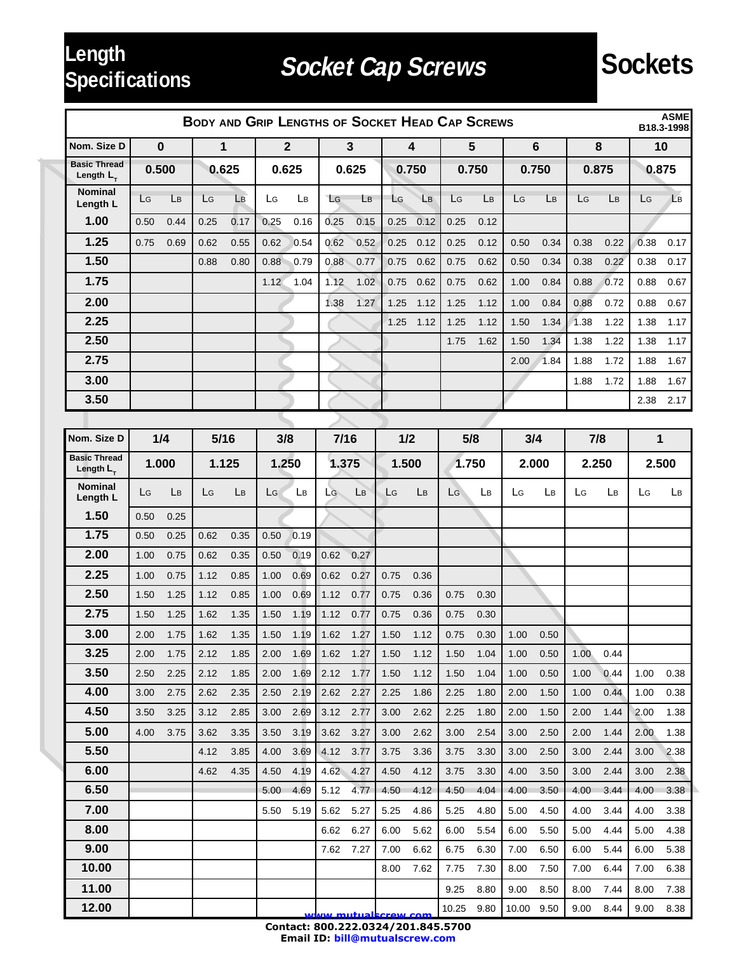# **Specifications**

## **Socket Cap Screws** Sockets

| <b>ASME</b><br><b>BODY AND GRIP LENGTHS OF SOCKET HEAD CAP SCREWS</b><br>B18.3-1998 |      |             |      |                       |       |                |       |      |                            |              |       |       |            |                |       |       |       |       |  |
|-------------------------------------------------------------------------------------|------|-------------|------|-----------------------|-------|----------------|-------|------|----------------------------|--------------|-------|-------|------------|----------------|-------|-------|-------|-------|--|
| Nom. Size D                                                                         |      | $\mathbf 0$ |      | $\mathbf{1}$          |       | $\overline{2}$ |       | 3    |                            | 4            |       | 5     |            | $6\phantom{1}$ |       | 8     |       | 10    |  |
| <b>Basic Thread</b><br>Length $L_{\tau}$                                            |      | 0.500       |      | 0.625                 | 0.625 |                | 0.625 |      |                            | 0.750        |       | 0.750 |            | 0.750          |       | 0.875 |       | 0.875 |  |
| <b>Nominal</b><br>Length L                                                          | LG   | Lв          | LG   | Lв                    | LG    | Lв             | LG    | Lв   | LG                         | Lв           | LG    | Lв    | LG         | Lв             | LG    | Lв    | LG    | Lв    |  |
| 1.00                                                                                | 0.50 | 0.44        | 0.25 | 0.17                  | 0.25  | 0.16           | 0.25  | 0.15 | 0.25                       | 0.12         | 0.25  | 0.12  |            |                |       |       |       |       |  |
| 1.25                                                                                | 0.75 | 0.69        | 0.62 | 0.55                  | 0.62  | 0.54           | 0.62  | 0.52 | 0.25                       | 0.12         | 0.25  | 0.12  | 0.50       | 0.34           | 0.38  | 0.22  | 0.38  | 0.17  |  |
| 1.50                                                                                |      |             | 0.88 | 0.80                  | 0.88  | 0.79           | 0.88  | 0.77 | 0.75                       | 0.62         | 0.75  | 0.62  | 0.50       | 0.34           | 0.38  | 0.22  | 0.38  | 0.17  |  |
| 1.75                                                                                |      |             |      |                       | 1.12  | 1.04           | 1.12  | 1.02 | 0.75                       | 0.62         | 0.75  | 0.62  | 1.00       | 0.84           | 0.88  | 0.72  | 0.88  | 0.67  |  |
| 2.00                                                                                |      |             |      |                       |       |                | 1.38  | 1.27 | 1.25                       | 1.12         | 1.25  | 1.12  | 1.00       | 0.84           | 0.88  | 0.72  | 0.88  | 0.67  |  |
| 2.25                                                                                |      |             |      |                       |       |                |       |      | 1.25                       | 1.12         | 1.25  | 1.12  | 1.50       | 1.34           | 1.38  | 1.22  | 1.38  | 1.17  |  |
| 2.50                                                                                |      |             |      |                       |       |                |       |      |                            |              | 1.75  | 1.62  | 1.50       | 1.34           | 1.38  | 1.22  | 1.38  | 1.17  |  |
| 2.75                                                                                |      |             |      |                       |       |                |       |      |                            |              |       |       | 2.00       | 1.84           | 1.88  | 1.72  | 1.88  | 1.67  |  |
| 3.00                                                                                |      |             |      |                       |       |                |       |      |                            |              |       |       |            |                | 1.88  | 1.72  | 1.88  | 1.67  |  |
| 3.50                                                                                |      |             |      |                       |       |                |       |      |                            |              |       |       |            |                |       |       | 2.38  | 2.17  |  |
|                                                                                     |      |             |      |                       |       |                |       |      |                            |              |       |       |            |                |       |       |       |       |  |
| Nom. Size D                                                                         |      | 1/4         |      | $5/16$<br>3/8<br>7/16 |       |                |       | 1/2  |                            | 5/8          | 3/4   |       | 7/8        |                | 1     |       |       |       |  |
| <b>Basic Thread</b><br>Length $L_{\tau}$                                            |      | 1.000       |      | 1.125                 | 1.250 |                | 1.375 |      | 1.500                      |              | 1.750 |       | 2.000      |                | 2.250 |       | 2.500 |       |  |
| <b>Nominal</b><br>Length L                                                          | LG   | Lв          | LG   | Lв                    | LG    | Lв             | LG    | Lв   | LG                         | Lв           | LG    | Lв    | LG         | Lв             | LG    | Lв    | LG    | LB    |  |
| 1.50                                                                                | 0.50 | 0.25        |      |                       |       |                |       |      |                            |              |       |       |            |                |       |       |       |       |  |
| 1.75                                                                                | 0.50 | 0.25        | 0.62 | 0.35                  | 0.50  | 0.19           |       |      |                            |              |       |       |            |                |       |       |       |       |  |
| 2.00                                                                                | 1.00 | 0.75        | 0.62 | 0.35                  | 0.50  | 0.19           | 0.62  | 0.27 |                            |              |       |       |            |                |       |       |       |       |  |
| 2.25                                                                                | 1.00 | 0.75        | 1.12 | 0.85                  | 1.00  | 0.69           | 0.62  | 0.27 | 0.75                       | 0.36         |       |       |            |                |       |       |       |       |  |
| 2.50                                                                                | 1.50 | 1.25        | 1.12 | 0.85                  | 1.00  | 0.69           | 1.12  | 0.77 | 0.75                       | 0.36         | 0.75  | 0.30  |            |                |       |       |       |       |  |
| 2.75                                                                                | 1.50 | 1.25        | 1.62 | 1.35                  | 1.50  | 1.19           | 1.12  | 0.77 | 0.75                       | 0.36         | 0.75  | 0.30  |            |                |       |       |       |       |  |
| 3.00                                                                                | 2.00 | 1.75        | 1.62 | 1.35                  | 1.50  | 1.19           | 1.62  | 1.27 | 1.50                       | 1.12         | 0.75  | 0.30  | 1.00       | 0.50           |       |       |       |       |  |
| 3.25                                                                                | 2.00 | 1.75        | 2.12 | 1.85                  | 2.00  | 1.69           | 1.62  | 1.27 | 1.50                       | 1.12         | 1.50  | 1.04  | 1.00       | 0.50           | 1.00  | 0.44  |       |       |  |
| 3.50                                                                                | 2.50 | 2.25        | 2.12 | 1.85                  | 2.00  | 1.69           | 2.12  | 1.77 | 1.50                       | 1.12         | 1.50  | 1.04  | 1.00       | 0.50           | 1.00  | 0.44  | 1.00  | 0.38  |  |
| 4.00                                                                                | 3.00 | 2.75        | 2.62 | 2.35                  | 2.50  | 2.19           | 2.62  | 2.27 | 2.25                       | 1.86         | 2.25  | 1.80  | 2.00       | 1.50           | 1.00  | 0.44  | 1.00  | 0.38  |  |
| 4.50                                                                                | 3.50 | 3.25        | 3.12 | 2.85                  | 3.00  | 2.69           | 3.12  | 2.77 | 3.00                       | 2.62         | 2.25  | 1.80  | 2.00       | 1.50           | 2.00  | 1.44  | 2.00  | 1.38  |  |
| 5.00                                                                                | 4.00 | 3.75        | 3.62 | 3.35                  | 3.50  | 3.19           | 3.62  | 3.27 | 3.00                       | 2.62         | 3.00  | 2.54  | 3.00       | 2.50           | 2.00  | 1.44  | 2.00  | 1.38  |  |
| 5.50                                                                                |      |             | 4.12 | 3.85                  | 4.00  | 3.69           | 4.12  | 3.77 | 3.75                       | 3.36         | 3.75  | 3.30  | 3.00       | 2.50           | 3.00  | 2.44  | 3.00  | 2.38  |  |
| 6.00                                                                                |      |             | 4.62 | 4.35                  | 4.50  | 4.19           | 4.62  | 4.27 | 4.50                       | 4.12         | 3.75  | 3.30  | 4.00       | 3.50           | 3.00  | 2.44  | 3.00  | 2.38  |  |
| 6.50                                                                                |      |             |      |                       | 5.00  | 4.69           | 5.12  | 4.77 | 4.50                       | 4.12         | 4.50  | 4.04  | 4.00       | 3.50           | 4.00  | 3.44  | 4.00  | 3.38  |  |
| 7.00                                                                                |      |             |      |                       | 5.50  | 5.19           | 5.62  | 5.27 | 5.25                       | 4.86         | 5.25  | 4.80  | 5.00       | 4.50           | 4.00  | 3.44  | 4.00  | 3.38  |  |
| 8.00<br>9.00                                                                        |      |             |      |                       |       |                | 6.62  | 6.27 | 6.00                       | 5.62         | 6.00  | 5.54  | 6.00       | 5.50           | 5.00  | 4.44  | 5.00  | 4.38  |  |
| 10.00                                                                               |      |             |      |                       |       |                | 7.62  | 7.27 | 7.00                       | 6.62<br>7.62 | 6.75  | 6.30  | 7.00       | 6.50           | 6.00  | 5.44  | 6.00  | 5.38  |  |
|                                                                                     |      |             |      |                       |       |                |       |      | 8.00                       |              | 7.75  | 7.30  | 8.00       | 7.50           | 7.00  | 6.44  | 7.00  | 6.38  |  |
| 11.00                                                                               |      |             |      |                       |       |                |       |      |                            |              | 9.25  | 8.80  | 9.00       | 8.50           | 8.00  | 7.44  | 8.00  | 7.38  |  |
| 12.00                                                                               |      |             |      |                       |       |                |       |      | <u>www.mutualscrew.com</u> |              | 10.25 | 9.80  | 10.00 9.50 |                | 9.00  | 8.44  | 9.00  | 8.38  |  |

Contact: 800.222.0324/201.845.5700

**Email ID: bill@mutualscrew.com**